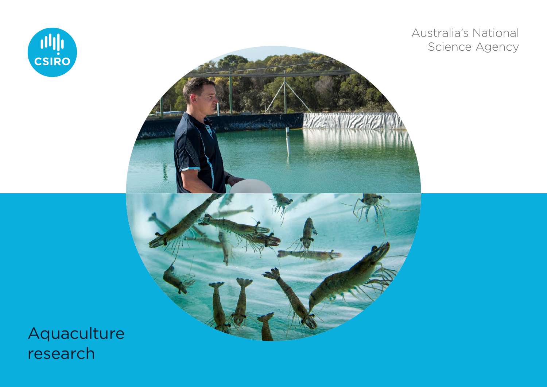

Australia's National Science Agency



Aquaculture research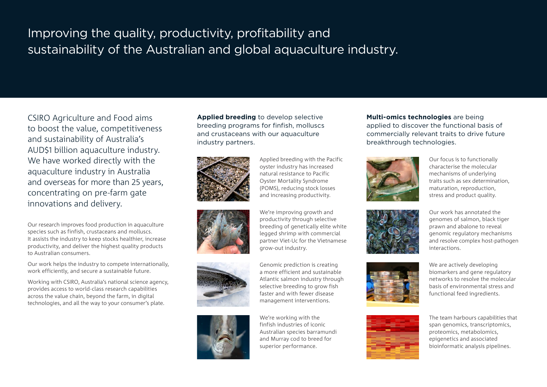## Improving the quality, productivity, profitability and sustainability of the Australian and global aquaculture industry.

CSIRO Agriculture and Food aims to boost the value, competitiveness and sustainability of Australia's AUD\$1 billion aquaculture industry. We have worked directly with the aquaculture industry in Australia and overseas for more than 25 years, concentrating on pre-farm gate innovations and delivery.

Our research improves food production in aquaculture species such as finfish, crustaceans and molluscs. It assists the industry to keep stocks healthier, increase productivity, and deliver the highest quality products to Australian consumers.

Our work helps the industry to compete internationally, work efficiently, and secure a sustainable future.

Working with CSIRO, Australia's national science agency, provides access to world-class research capabilities across the value chain, beyond the farm, in digital technologies, and all the way to your consumer's plate.

**Applied breeding** to develop selective breeding programs for finfish, molluscs and crustaceans with our aquaculture industry partners.



Applied breeding with the Pacific oyster industry has increased natural resistance to Pacific Oyster Mortality Syndrome (POMS), reducing stock losses and increasing productivity.







We're improving growth and productivity through selective breeding of genetically elite white legged shrimp with commercial partner Viet-Uc for the Vietnamese grow-out industry.

Genomic prediction is creating a more efficient and sustainable Atlantic salmon industry through selective breeding to grow fish faster and with fewer disease management interventions.

We're working with the finfish industries of iconic Australian species barramundi and Murray cod to breed for superior performance.

## **Multi-omics technologies** are being applied to discover the functional basis of commercially relevant traits to drive future breakthrough technologies.



Our focus is to functionally characterise the molecular mechanisms of underlying traits such as sex determination, maturation, reproduction, stress and product quality.





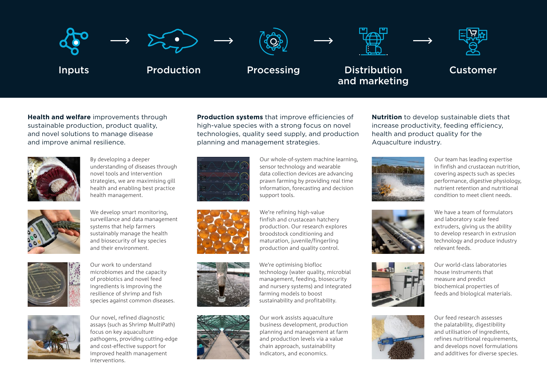

**Health and welfare** improvements through sustainable production, product quality, and novel solutions to manage disease and improve animal resilience.



By developing a deeper understanding of diseases through novel tools and intervention strategies, we are maximising gill health and enabling best practice health management.



We develop smart monitoring, surveillance and data management systems that help farmers sustainably manage the health and biosecurity of key species and their environment.



Our work to understand microbiomes and the capacity of probiotics and novel feed ingredients is improving the resilience of shrimp and fish species against common diseases.



Our novel, refined diagnostic assays (such as Shrimp MultiPath) focus on key aquaculture pathogens, providing cutting-edge and cost-effective support for improved health management interventions.

**Production systems** that improve efficiencies of high-value species with a strong focus on novel technologies, quality seed supply, and production planning and management strategies.







Our whole-of-system machine learning, sensor technology and wearable data collection devices are advancing prawn farming by providing real time information, forecasting and decision support tools.

We're refining high-value finfish and crustacean hatchery production. Our research explores broodstock conditioning and maturation, juvenile/fingerling production and quality control.

We're optimising biofloc technology (water quality, microbial management, feeding, biosecurity and nursery systems) and integrated farming models to boost sustainability and profitability.

Our work assists aquaculture business development, production planning and management at farm and production levels via a value chain approach, sustainability indicators, and economics.

**Nutrition** to develop sustainable diets that increase productivity, feeding efficiency, health and product quality for the Aquaculture industry.



Our team has leading expertise in finfish and crustacean nutrition, covering aspects such as species performance, digestive physiology, nutrient retention and nutritional condition to meet client needs.

We have a team of formulators and laboratory scale feed extruders, giving us the ability to develop research in extrusion technology and produce industry







Our world-class laboratories house instruments that measure and predict biochemical properties of feeds and biological materials.

relevant feeds.

Our feed research assesses the palatability, digestibility and utilisation of ingredients, refines nutritional requirements, and develops novel formulations and additives for diverse species.